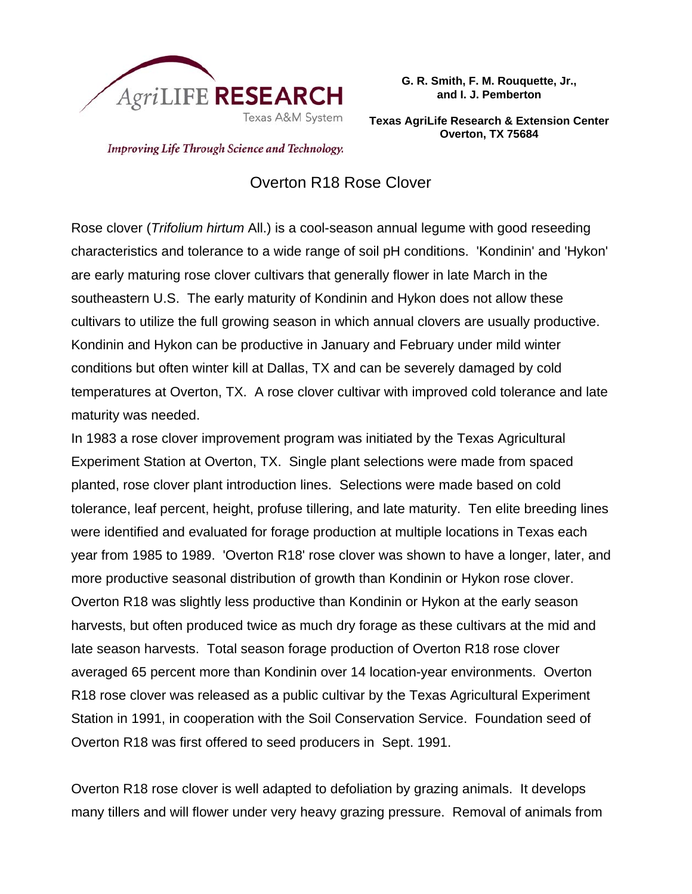

**G. R. Smith, F. M. Rouquette, Jr., and I. J. Pemberton** 

**Texas AgriLife Research & Extension Center Overton, TX 75684**

Improving Life Through Science and Technology.

## Overton R18 Rose Clover

Rose clover (*Trifolium hirtum* All.) is a cool-season annual legume with good reseeding characteristics and tolerance to a wide range of soil pH conditions. 'Kondinin' and 'Hykon' are early maturing rose clover cultivars that generally flower in late March in the southeastern U.S. The early maturity of Kondinin and Hykon does not allow these cultivars to utilize the full growing season in which annual clovers are usually productive. Kondinin and Hykon can be productive in January and February under mild winter conditions but often winter kill at Dallas, TX and can be severely damaged by cold temperatures at Overton, TX. A rose clover cultivar with improved cold tolerance and late maturity was needed.

In 1983 a rose clover improvement program was initiated by the Texas Agricultural Experiment Station at Overton, TX. Single plant selections were made from spaced planted, rose clover plant introduction lines. Selections were made based on cold tolerance, leaf percent, height, profuse tillering, and late maturity. Ten elite breeding lines were identified and evaluated for forage production at multiple locations in Texas each year from 1985 to 1989. 'Overton R18' rose clover was shown to have a longer, later, and more productive seasonal distribution of growth than Kondinin or Hykon rose clover. Overton R18 was slightly less productive than Kondinin or Hykon at the early season harvests, but often produced twice as much dry forage as these cultivars at the mid and late season harvests. Total season forage production of Overton R18 rose clover averaged 65 percent more than Kondinin over 14 location-year environments. Overton R18 rose clover was released as a public cultivar by the Texas Agricultural Experiment Station in 1991, in cooperation with the Soil Conservation Service. Foundation seed of Overton R18 was first offered to seed producers in Sept. 1991.

Overton R18 rose clover is well adapted to defoliation by grazing animals. It develops many tillers and will flower under very heavy grazing pressure. Removal of animals from